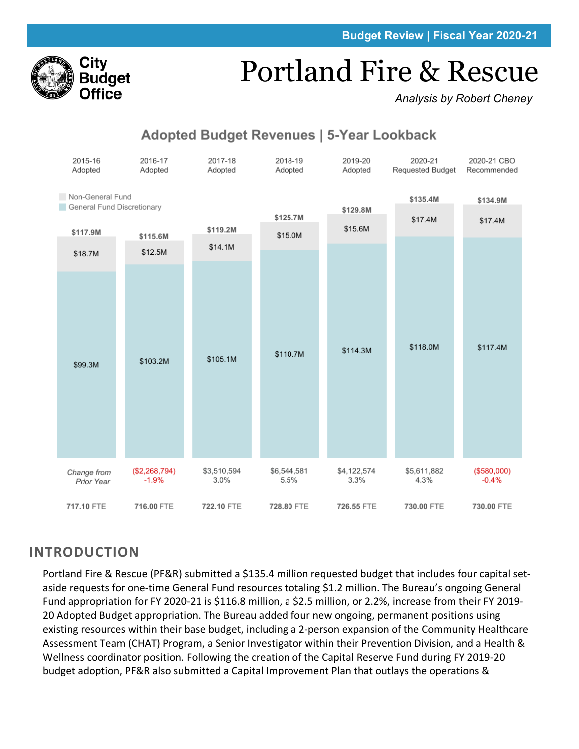

# Portland Fire & Rescue

*Analysis by Robert Cheney*

# **Adopted Budget Revenues | 5-Year Lookback**



# **INTRODUCTION**

Portland Fire & Rescue (PF&R) submitted a \$135.4 million requested budget that includes four capital setaside requests for one-time General Fund resources totaling \$1.2 million. The Bureau's ongoing General Fund appropriation for FY 2020-21 is \$116.8 million, a \$2.5 million, or 2.2%, increase from their FY 2019- 20 Adopted Budget appropriation. The Bureau added four new ongoing, permanent positions using existing resources within their base budget, including a 2-person expansion of the Community Healthcare Assessment Team (CHAT) Program, a Senior Investigator within their Prevention Division, and a Health & Wellness coordinator position. Following the creation of the Capital Reserve Fund during FY 2019-20 budget adoption, PF&R also submitted a Capital Improvement Plan that outlays the operations &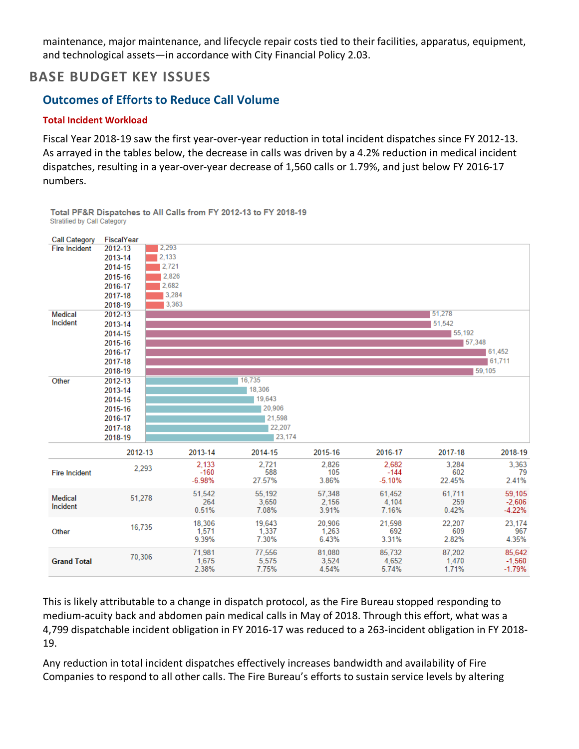maintenance, major maintenance, and lifecycle repair costs tied to their facilities, apparatus, equipment, and technological assets—in accordance with City Financial Policy 2.03.

# **BASE BUDGET KEY ISSUES**

# **Outcomes of Efforts to Reduce Call Volume**

### **Total Incident Workload**

Fiscal Year 2018-19 saw the first year-over-year reduction in total incident dispatches since FY 2012-13. As arrayed in the tables below, the decrease in calls was driven by a 4.2% reduction in medical incident dispatches, resulting in a year-over-year decrease of 1,560 calls or 1.79%, and just below FY 2016-17 numbers.



Total PF&R Dispatches to All Calls from FY 2012-13 to FY 2018-19 **Stratified by Call Category** 

This is likely attributable to a change in dispatch protocol, as the Fire Bureau stopped responding to medium-acuity back and abdomen pain medical calls in May of 2018. Through this effort, what was a 4,799 dispatchable incident obligation in FY 2016-17 was reduced to a 263-incident obligation in FY 2018- 19.

Any reduction in total incident dispatches effectively increases bandwidth and availability of Fire Companies to respond to all other calls. The Fire Bureau's efforts to sustain service levels by altering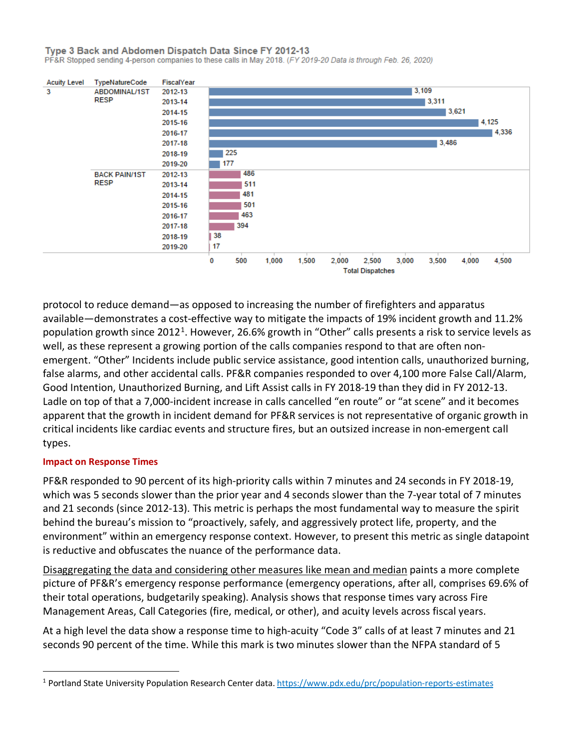Type 3 Back and Abdomen Dispatch Data Since FY 2012-13

PF&R Stopped sending 4-person companies to these calls in May 2018. (FY 2019-20 Data is through Feb. 26, 2020)



protocol to reduce demand—as opposed to increasing the number of firefighters and apparatus available—demonstrates a cost-effective way to mitigate the impacts of 19% incident growth and 11.2% population growth since 20[1](#page-2-0)2<sup>1</sup>. However, 26.6% growth in "Other" calls presents a risk to service levels as well, as these represent a growing portion of the calls companies respond to that are often nonemergent. "Other" Incidents include public service assistance, good intention calls, unauthorized burning, false alarms, and other accidental calls. PF&R companies responded to over 4,100 more False Call/Alarm, Good Intention, Unauthorized Burning, and Lift Assist calls in FY 2018-19 than they did in FY 2012-13. Ladle on top of that a 7,000-incident increase in calls cancelled "en route" or "at scene" and it becomes apparent that the growth in incident demand for PF&R services is not representative of organic growth in critical incidents like cardiac events and structure fires, but an outsized increase in non-emergent call types.

### **Impact on Response Times**

PF&R responded to 90 percent of its high-priority calls within 7 minutes and 24 seconds in FY 2018-19, which was 5 seconds slower than the prior year and 4 seconds slower than the 7-year total of 7 minutes and 21 seconds (since 2012-13). This metric is perhaps the most fundamental way to measure the spirit behind the bureau's mission to "proactively, safely, and aggressively protect life, property, and the environment" within an emergency response context. However, to present this metric as single datapoint is reductive and obfuscates the nuance of the performance data.

[Disaggregating the data and considering other measures like mean and median](https://public.tableau.com/profile/portland.city.budget.office#!/vizhome/PFRResponseTimebyFMA/FireResponseTimebyFMA) paints a more complete picture of PF&R's emergency response performance (emergency operations, after all, comprises 69.6% of their total operations, budgetarily speaking). Analysis shows that response times vary across Fire Management Areas, Call Categories (fire, medical, or other), and acuity levels across fiscal years.

At a high level the data show a response time to high-acuity "Code 3" calls of at least 7 minutes and 21 seconds 90 percent of the time. While this mark is two minutes slower than the NFPA standard of 5

<span id="page-2-0"></span><sup>1</sup> Portland State University Population Research Center data.<https://www.pdx.edu/prc/population-reports-estimates>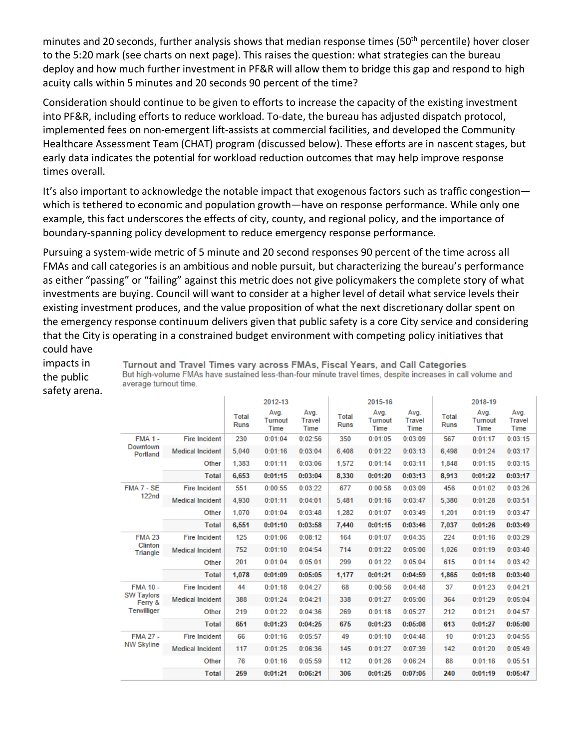minutes and 20 seconds, further analysis shows that median response times (50<sup>th</sup> percentile) hover closer to the 5:20 mark (see charts on next page). This raises the question: what strategies can the bureau deploy and how much further investment in PF&R will allow them to bridge this gap and respond to high acuity calls within 5 minutes and 20 seconds 90 percent of the time?

Consideration should continue to be given to efforts to increase the capacity of the existing investment into PF&R, including efforts to reduce workload. To-date, the bureau has adjusted dispatch protocol, implemented fees on non-emergent lift-assists at commercial facilities, and developed the Community Healthcare Assessment Team (CHAT) program (discussed below). These efforts are in nascent stages, but early data indicates the potential for workload reduction outcomes that may help improve response times overall.

It's also important to acknowledge the notable impact that exogenous factors such as traffic congestion which is tethered to economic and population growth—have on response performance. While only one example, this fact underscores the effects of city, county, and regional policy, and the importance of boundary-spanning policy development to reduce emergency response performance.

Pursuing a system-wide metric of 5 minute and 20 second responses 90 percent of the time across all FMAs and call categories is an ambitious and noble pursuit, but characterizing the bureau's performance as either "passing" or "failing" against this metric does not give policymakers the complete story of what investments are buying. Council will want to consider at a higher level of detail what service levels their existing investment produces, and the value proposition of what the next discretionary dollar spent on the emergency response continuum delivers given that public safety is a core City service and considering that the City is operating in a constrained budget environment with competing policy initiatives that could have

impacts in the public safety arena.

Turnout and Travel Times vary across FMAs, Fiscal Years, and Call Categories But high-volume FMAs have sustained less-than-four minute travel times, despite increases in call volume and average turnout time.

|                              |                         |                             | 2012-13                        |                                      |                             | 2015-16                 |                               |                             | 2018-19                 |                               |
|------------------------------|-------------------------|-----------------------------|--------------------------------|--------------------------------------|-----------------------------|-------------------------|-------------------------------|-----------------------------|-------------------------|-------------------------------|
|                              |                         | <b>Total</b><br><b>Runs</b> | Avg.<br><b>Turnout</b><br>Time | Avg.<br><b>Travel</b><br><b>Time</b> | <b>Total</b><br><b>Runs</b> | Avg.<br>Turnout<br>Time | Avg.<br><b>Travel</b><br>Time | <b>Total</b><br><b>Runs</b> | Avg.<br>Turnout<br>Time | Avg.<br><b>Travel</b><br>Time |
| <b>FMA 1 -</b>               | <b>Fire Incident</b>    | 230                         | 0:01:04                        | 0:02:56                              | 350                         | 0:01:05                 | 0:03:09                       | 567                         | 0:01:17                 | 0:03:15                       |
| Downtown<br>Portland         | <b>Medical Incident</b> | 5.040                       | 0:01:16                        | 0:03:04                              | 6.408                       | 0:01:22                 | 0:03:13                       | 6.498                       | 0:01:24                 | 0:03:17                       |
|                              | Other                   | 1.383                       | 0:01:11                        | 0:03:06                              | 1,572                       | 0:01:14                 | 0:03:11                       | 1,848                       | 0:01:15                 | 0:03:15                       |
|                              | <b>Total</b>            | 6,653                       | 0:01:15                        | 0:03:04                              | 8,330                       | 0:01:20                 | 0:03:13                       | 8.913                       | 0:01:22                 | 0:03:17                       |
| FMA 7 - SE                   | <b>Fire Incident</b>    | 551                         | 0:00:55                        | 0:03:22                              | 677                         | 0:00:58                 | 0:03:09                       | 456                         | 0:01:02                 | 0:03:26                       |
| 122 <sub>nd</sub>            | <b>Medical Incident</b> | 4.930                       | 0:01:11                        | 0:04:01                              | 5.481                       | 0:01:16                 | 0:03:47                       | 5.380                       | 0:01:28                 | 0:03:51                       |
|                              | Other                   | 1.070                       | 0:01:04                        | 0:03:48                              | 1,282                       | 0:01:07                 | 0:03:49                       | 1,201                       | 0:01:19                 | 0:03:47                       |
|                              | <b>Total</b>            | 6,551                       | 0:01:10                        | 0:03:58                              | 7.440                       | 0:01:15                 | 0:03:46                       | 7.037                       | 0:01:26                 | 0:03:49                       |
| <b>FMA 23</b>                | <b>Fire Incident</b>    | 125                         | 0:01:06                        | 0:08:12                              | 164                         | 0:01:07                 | 0:04:35                       | 224                         | 0:01:16                 | 0:03:29                       |
| Clinton<br>Triangle          | <b>Medical Incident</b> | 752                         | 0:01:10                        | 0:04:54                              | 714                         | 0:01:22                 | 0:05:00                       | 1.026                       | 0:01:19                 | 0:03:40                       |
|                              | Other                   | 201                         | 0:01:04                        | 0:05:01                              | 299                         | 0:01:22                 | 0:05:04                       | 615                         | 0:01:14                 | 0:03:42                       |
|                              | <b>Total</b>            | 1,078                       | 0:01:09                        | 0:05:05                              | 1,177                       | 0:01:21                 | 0:04:59                       | 1,865                       | 0:01:18                 | 0:03:40                       |
| <b>FMA 10 -</b>              | <b>Fire Incident</b>    | 44                          | 0:01:18                        | 0:04:27                              | 68                          | 0:00:56                 | 0:04:48                       | 37                          | 0:01:23                 | 0:04:21                       |
| <b>SW Taylors</b><br>Ferry & | <b>Medical Incident</b> | 388                         | 0:01:24                        | 0:04:21                              | 338                         | 0:01:27                 | 0:05:00                       | 364                         | 0:01:29                 | 0:05:04                       |
| Terwilliger                  | Other                   | 219                         | 0:01:22                        | 0:04:36                              | 269                         | 0:01:18                 | 0:05:27                       | 212                         | 0:01:21                 | 0:04:57                       |
|                              | <b>Total</b>            | 651                         | 0:01:23                        | 0:04:25                              | 675                         | 0:01:23                 | 0:05:08                       | 613                         | 0:01:27                 | 0:05:00                       |
| <b>FMA 27 -</b>              | <b>Fire Incident</b>    | 66                          | 0:01:16                        | 0:05:57                              | 49                          | 0:01:10                 | 0:04:48                       | 10                          | 0:01:23                 | 0:04:55                       |
| <b>NW Skyline</b>            | <b>Medical Incident</b> | 117                         | 0:01:25                        | 0:06:36                              | 145                         | 0:01:27                 | 0:07:39                       | 142                         | 0:01:20                 | 0:05:49                       |
|                              | Other                   | 76                          | 0:01:16                        | 0:05:59                              | 112                         | 0:01:26                 | 0:06:24                       | 88                          | 0:01:16                 | 0:05:51                       |
|                              | <b>Total</b>            | 259                         | 0:01:21                        | 0:06:21                              | 306                         | 0:01:25                 | 0:07:05                       | 240                         | 0:01:19                 | 0:05:47                       |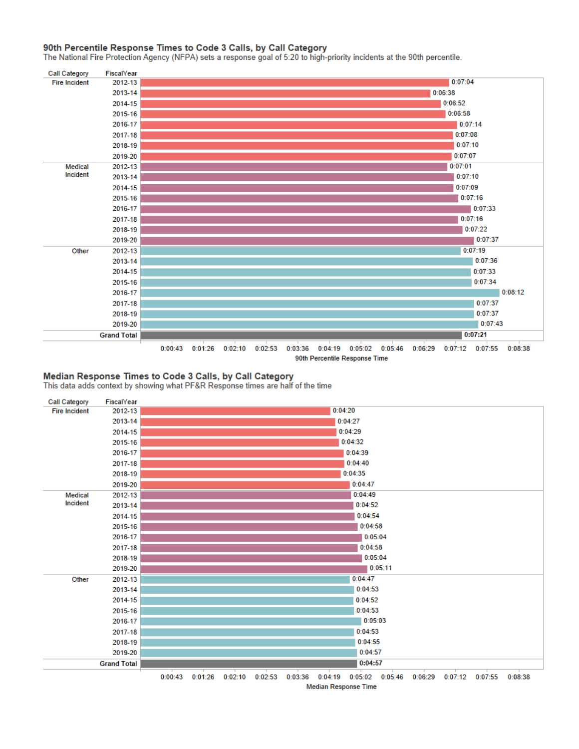#### 90th Percentile Response Times to Code 3 Calls, by Call Category

The National Fire Protection Agency (NFPA) sets a response goal of 5:20 to high-priority incidents at the 90th percentile.



#### Median Response Times to Code 3 Calls, by Call Category

This data adds context by showing what PF&R Response times are half of the time

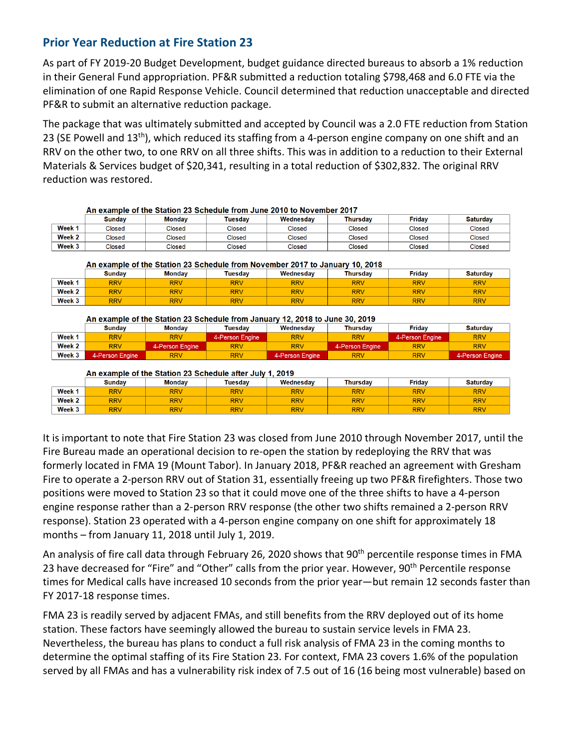# **Prior Year Reduction at Fire Station 23**

As part of FY 2019-20 Budget Development, budget guidance directed bureaus to absorb a 1% reduction in their General Fund appropriation. PF&R submitted a reduction totaling \$798,468 and 6.0 FTE via the elimination of one Rapid Response Vehicle. Council determined that reduction unacceptable and directed PF&R to submit an alternative reduction package.

The package that was ultimately submitted and accepted by Council was a 2.0 FTE reduction from Station 23 (SE Powell and 13<sup>th</sup>), which reduced its staffing from a 4-person engine company on one shift and an RRV on the other two, to one RRV on all three shifts. This was in addition to a reduction to their External Materials & Services budget of \$20,341, resulting in a total reduction of \$302,832. The original RRV reduction was restored.

|        | AII CAGINDIC OF THE ORIGINI ZO OCHEGUIE HOM OUNE ZO IV TO MOVEMBER ZO I A |        |         |           |          |        |                 |  |  |  |
|--------|---------------------------------------------------------------------------|--------|---------|-----------|----------|--------|-----------------|--|--|--|
|        | <b>Sundav</b>                                                             | Mondav | Tuesdav | Wednesdav | Thursdav | Fridav | <b>Saturdav</b> |  |  |  |
| Week 1 | Closed                                                                    | Closed | Closed  | Closed    | Closed   | Closed | Closed          |  |  |  |
| Week 2 | Closed                                                                    | Closed | Closed  | Closed    | Closed   | Closed | Closed          |  |  |  |
| Week 3 | Closed                                                                    | Closed | Closed  | Closed    | Closed   | Closed | Closed          |  |  |  |

An example of the Station 23 Schedule from June 2010 to November 2017

An example of the Station 23 Schedule from November 2017 to January 10, 2018

|        | Sundav     | <b>Monday</b> | Tuesdav    | Wednesdav  | <b>Thursdav</b> | <b>Fridav</b> | <b>Saturdav</b> |
|--------|------------|---------------|------------|------------|-----------------|---------------|-----------------|
| Week 1 | <b>RRV</b> | <b>RRV</b>    | <b>RRV</b> | <b>RRV</b> | <b>RRV</b>      | <b>RRV</b>    | <b>RRV</b>      |
| Week 2 | <b>RRV</b> | <b>RRV</b>    | <b>RRV</b> | <b>RRV</b> | <b>RRV</b>      | <b>RRV</b>    | <b>RRV</b>      |
| Week 3 | <b>RRV</b> | <b>RRV</b>    | <b>RRV</b> | <b>RRV</b> | <b>RRV</b>      | <b>RRV</b>    | <b>RRV</b>      |

#### An example of the Station 23 Schedule from January 12, 2018 to June 30, 2019

|        | Sundav          | <b>Monday</b>   | Tuesdav         | Wednesdav       | Thursdav        | Fridav          | <b>Saturdav</b> |
|--------|-----------------|-----------------|-----------------|-----------------|-----------------|-----------------|-----------------|
| Week 1 | <b>RRV</b>      | <b>RRV</b>      | 4-Person Engine | <b>RRV</b>      | <b>RRV</b>      | 4-Person Engine | <b>RRV</b>      |
| Week 2 | <b>RRV</b>      | 4-Person Engine | <b>RRV</b>      | <b>RRV</b>      | 4-Person Engine | <b>RRV</b>      | <b>RRV</b>      |
| Week 3 | 4-Person Engine | <b>RRV</b>      | <b>RRV</b>      | 4-Person Engine | <b>RRV</b>      | <b>RRV</b>      | 4-Person Engine |

An example of the Station 23 Schedule after July 1, 2019

|                   | Sundav     | <b>Monday</b> | Tuesdav    | Wednesday  | Thursday   | <b>Fridav</b> | <b>Saturday</b> |
|-------------------|------------|---------------|------------|------------|------------|---------------|-----------------|
| Week <sub>1</sub> | <b>RRV</b> | <b>RRV</b>    | <b>RRV</b> | <b>RRV</b> | <b>RRV</b> | <b>RRV</b>    | <b>RRV</b>      |
| Week 2            | <b>RRV</b> | <b>RRV</b>    | <b>RRV</b> | <b>RRV</b> | <b>RRV</b> | <b>RRV</b>    | <b>RRV</b>      |
| Week 3            | <b>RRV</b> | <b>RRV</b>    | <b>RRV</b> | <b>RRV</b> | <b>RRV</b> | <b>RRV</b>    | <b>RRV</b>      |

It is important to note that Fire Station 23 was closed from June 2010 through November 2017, until the Fire Bureau made an operational decision to re-open the station by redeploying the RRV that was formerly located in FMA 19 (Mount Tabor). In January 2018, PF&R reached an agreement with Gresham Fire to operate a 2-person RRV out of Station 31, essentially freeing up two PF&R firefighters. Those two positions were moved to Station 23 so that it could move one of the three shifts to have a 4-person engine response rather than a 2-person RRV response (the other two shifts remained a 2-person RRV response). Station 23 operated with a 4-person engine company on one shift for approximately 18 months – from January 11, 2018 until July 1, 2019.

An analysis of fire call data through February 26, 2020 shows that 90<sup>th</sup> percentile response times in FMA 23 have decreased for "Fire" and "Other" calls from the prior year. However, 90<sup>th</sup> Percentile response times for Medical calls have increased 10 seconds from the prior year—but remain 12 seconds faster than FY 2017-18 response times.

FMA 23 is readily served by adjacent FMAs, and still benefits from the RRV deployed out of its home station. These factors have seemingly allowed the bureau to sustain service levels in FMA 23. Nevertheless, the bureau has plans to conduct a full risk analysis of FMA 23 in the coming months to determine the optimal staffing of its Fire Station 23. For context, FMA 23 covers 1.6% of the population served by all FMAs and has a vulnerability risk index of 7.5 out of 16 (16 being most vulnerable) based on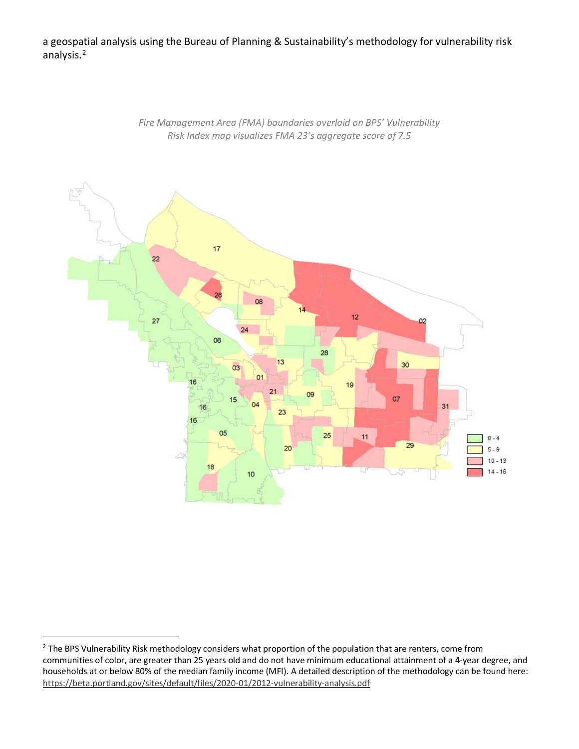a geospatial analysis using the Bureau of Planning & Sustainability's methodology for vulnerability risk analysis.<sup>[2](#page-6-0)</sup>



*Fire Management Area (FMA) boundaries overlaid on BPS' Vulnerability Risk Index map visualizes FMA 23's aggregate score of 7.5*

<span id="page-6-0"></span><sup>&</sup>lt;sup>2</sup> The BPS Vulnerability Risk methodology considers what proportion of the population that are renters, come from communities of color, are greater than 25 years old and do not have minimum educational attainment of a 4-year degree, and households at or below 80% of the median family income (MFI). A detailed description of the methodology can be found here: <https://beta.portland.gov/sites/default/files/2020-01/2012-vulnerability-analysis.pdf>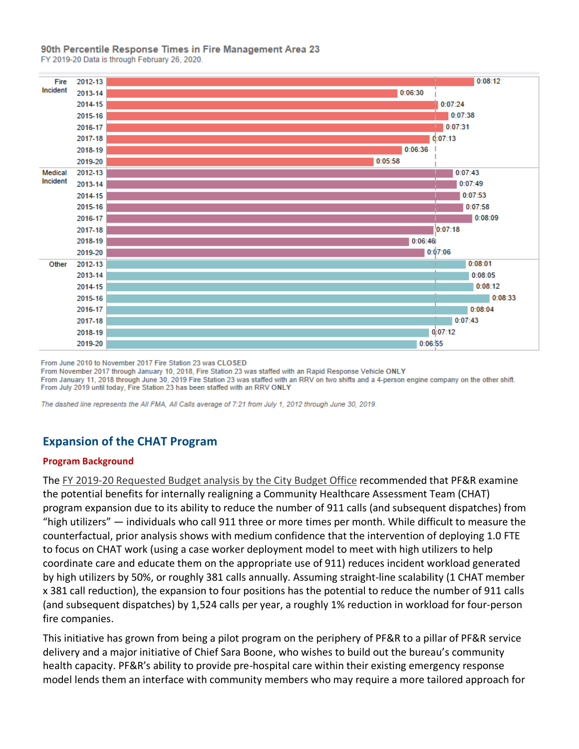### 90th Percentile Response Times in Fire Management Area 23

FY 2019-20 Data is through February 26, 2020.



From June 2010 to November 2017 Fire Station 23 was CLOSED

From November 2017 through January 10, 2018, Fire Station 23 was staffed with an Rapid Response Vehicle ONLY From January 11, 2018 through June 30, 2019 Fire Station 23 was staffed with an RRV on two shifts and a 4-person engine company on the other shift. From July 2019 until today, Fire Station 23 has been staffed with an RRV ONLY

The dashed line represents the All FMA, All Calls average of 7:21 from July 1, 2012 through June 30, 2019.

# **Expansion of the CHAT Program**

#### **Program Background**

The FY 2019-20 [Requested Budget analysis by the City Budget Office](https://www.portlandoregon.gov/cbo/article/714552) recommended that PF&R examine the potential benefits for internally realigning a Community Healthcare Assessment Team (CHAT) program expansion due to its ability to reduce the number of 911 calls (and subsequent dispatches) from "high utilizers" — individuals who call 911 three or more times per month. While difficult to measure the counterfactual, prior analysis shows with medium confidence that the intervention of deploying 1.0 FTE to focus on CHAT work (using a case worker deployment model to meet with high utilizers to help coordinate care and educate them on the appropriate use of 911) reduces incident workload generated by high utilizers by 50%, or roughly 381 calls annually. Assuming straight-line scalability (1 CHAT member x 381 call reduction), the expansion to four positions has the potential to reduce the number of 911 calls (and subsequent dispatches) by 1,524 calls per year, a roughly 1% reduction in workload for four-person fire companies.

This initiative has grown from being a pilot program on the periphery of PF&R to a pillar of PF&R service delivery and a major initiative of Chief Sara Boone, who wishes to build out the bureau's community health capacity. PF&R's ability to provide pre-hospital care within their existing emergency response model lends them an interface with community members who may require a more tailored approach for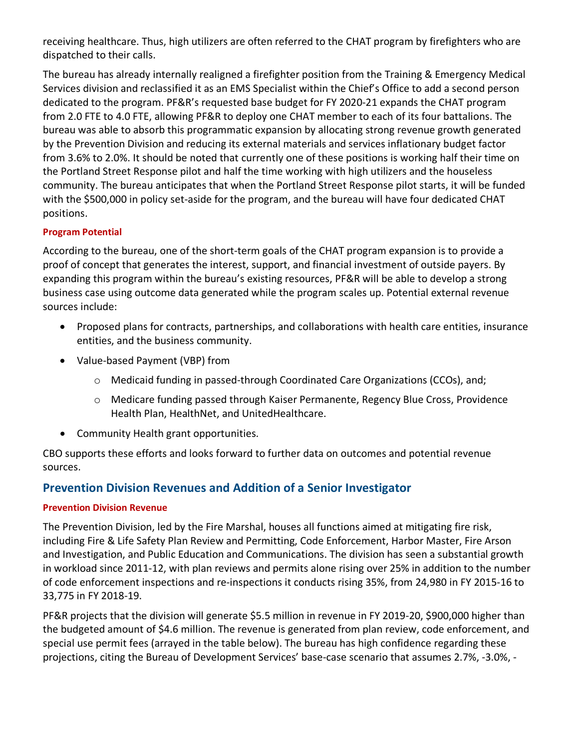receiving healthcare. Thus, high utilizers are often referred to the CHAT program by firefighters who are dispatched to their calls.

The bureau has already internally realigned a firefighter position from the Training & Emergency Medical Services division and reclassified it as an EMS Specialist within the Chief's Office to add a second person dedicated to the program. PF&R's requested base budget for FY 2020-21 expands the CHAT program from 2.0 FTE to 4.0 FTE, allowing PF&R to deploy one CHAT member to each of its four battalions. The bureau was able to absorb this programmatic expansion by allocating strong revenue growth generated by the Prevention Division and reducing its external materials and services inflationary budget factor from 3.6% to 2.0%. It should be noted that currently one of these positions is working half their time on the Portland Street Response pilot and half the time working with high utilizers and the houseless community. The bureau anticipates that when the Portland Street Response pilot starts, it will be funded with the \$500,000 in policy set-aside for the program, and the bureau will have four dedicated CHAT positions.

# **Program Potential**

According to the bureau, one of the short-term goals of the CHAT program expansion is to provide a proof of concept that generates the interest, support, and financial investment of outside payers. By expanding this program within the bureau's existing resources, PF&R will be able to develop a strong business case using outcome data generated while the program scales up. Potential external revenue sources include:

- Proposed plans for contracts, partnerships, and collaborations with health care entities, insurance entities, and the business community.
- Value-based Payment (VBP) from
	- o Medicaid funding in passed-through Coordinated Care Organizations (CCOs), and;
	- o Medicare funding passed through Kaiser Permanente, Regency Blue Cross, Providence Health Plan, HealthNet, and UnitedHealthcare.
- Community Health grant opportunities.

CBO supports these efforts and looks forward to further data on outcomes and potential revenue sources.

# **Prevention Division Revenues and Addition of a Senior Investigator**

# **Prevention Division Revenue**

The Prevention Division, led by the Fire Marshal, houses all functions aimed at mitigating fire risk, including Fire & Life Safety Plan Review and Permitting, Code Enforcement, Harbor Master, Fire Arson and Investigation, and Public Education and Communications. The division has seen a substantial growth in workload since 2011-12, with plan reviews and permits alone rising over 25% in addition to the number of code enforcement inspections and re-inspections it conducts rising 35%, from 24,980 in FY 2015-16 to 33,775 in FY 2018-19.

PF&R projects that the division will generate \$5.5 million in revenue in FY 2019-20, \$900,000 higher than the budgeted amount of \$4.6 million. The revenue is generated from plan review, code enforcement, and special use permit fees (arrayed in the table below). The bureau has high confidence regarding these projections, citing the Bureau of Development Services' base-case scenario that assumes 2.7%, -3.0%, -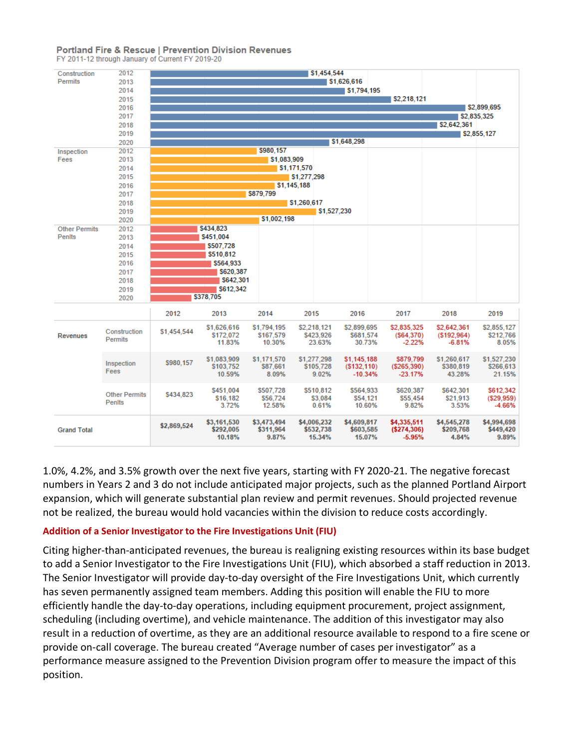### **Portland Fire & Rescue | Prevention Division Revenues**

FY 2011-12 through January of Current FY 2019-20



1.0%, 4.2%, and 3.5% growth over the next five years, starting with FY 2020-21. The negative forecast numbers in Years 2 and 3 do not include anticipated major projects, such as the planned Portland Airport expansion, which will generate substantial plan review and permit revenues. Should projected revenue not be realized, the bureau would hold vacancies within the division to reduce costs accordingly.

### **Addition of a Senior Investigator to the Fire Investigations Unit (FIU)**

Citing higher-than-anticipated revenues, the bureau is realigning existing resources within its base budget to add a Senior Investigator to the Fire Investigations Unit (FIU), which absorbed a staff reduction in 2013. The Senior Investigator will provide day-to-day oversight of the Fire Investigations Unit, which currently has seven permanently assigned team members. Adding this position will enable the FIU to more efficiently handle the day-to-day operations, including equipment procurement, project assignment, scheduling (including overtime), and vehicle maintenance. The addition of this investigator may also result in a reduction of overtime, as they are an additional resource available to respond to a fire scene or provide on-call coverage. The bureau created "Average number of cases per investigator" as a performance measure assigned to the Prevention Division program offer to measure the impact of this position.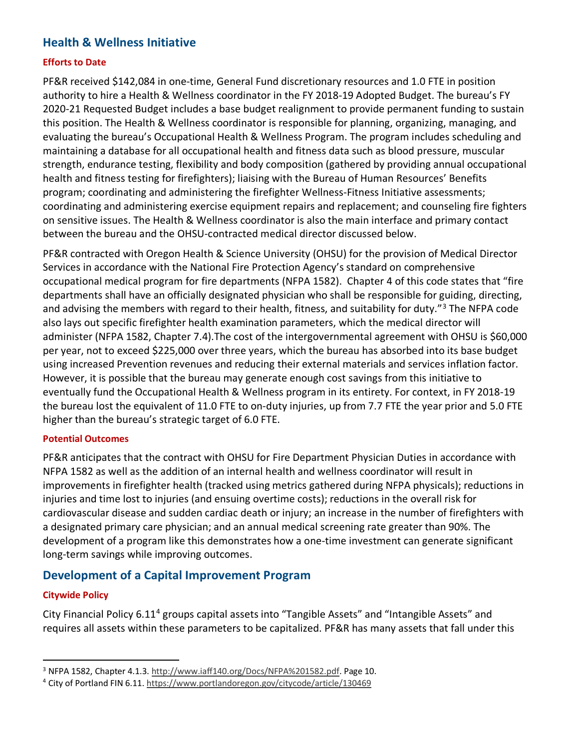# **Health & Wellness Initiative**

# **Efforts to Date**

PF&R received \$142,084 in one-time, General Fund discretionary resources and 1.0 FTE in position authority to hire a Health & Wellness coordinator in the FY 2018-19 Adopted Budget. The bureau's FY 2020-21 Requested Budget includes a base budget realignment to provide permanent funding to sustain this position. The Health & Wellness coordinator is responsible for planning, organizing, managing, and evaluating the bureau's Occupational Health & Wellness Program. The program includes scheduling and maintaining a database for all occupational health and fitness data such as blood pressure, muscular strength, endurance testing, flexibility and body composition (gathered by providing annual occupational health and fitness testing for firefighters); liaising with the Bureau of Human Resources' Benefits program; coordinating and administering the firefighter Wellness-Fitness Initiative assessments; coordinating and administering exercise equipment repairs and replacement; and counseling fire fighters on sensitive issues. The Health & Wellness coordinator is also the main interface and primary contact between the bureau and the OHSU-contracted medical director discussed below.

PF&R contracted with Oregon Health & Science University (OHSU) for the provision of Medical Director Services in accordance with the National Fire Protection Agency's standard on comprehensive occupational medical program for fire departments (NFPA 1582). Chapter 4 of this code states that "fire departments shall have an officially designated physician who shall be responsible for guiding, directing, and advising the members with regard to their health, fitness, and suitability for duty."<sup>[3](#page-10-0)</sup> The NFPA code also lays out specific firefighter health examination parameters, which the medical director will administer (NFPA 1582, Chapter 7.4).The cost of the intergovernmental agreement with OHSU is \$60,000 per year, not to exceed \$225,000 over three years, which the bureau has absorbed into its base budget using increased Prevention revenues and reducing their external materials and services inflation factor. However, it is possible that the bureau may generate enough cost savings from this initiative to eventually fund the Occupational Health & Wellness program in its entirety. For context, in FY 2018-19 the bureau lost the equivalent of 11.0 FTE to on-duty injuries, up from 7.7 FTE the year prior and 5.0 FTE higher than the bureau's strategic target of 6.0 FTE.

### **Potential Outcomes**

PF&R anticipates that the contract with OHSU for Fire Department Physician Duties in accordance with NFPA 1582 as well as the addition of an internal health and wellness coordinator will result in improvements in firefighter health (tracked using metrics gathered during NFPA physicals); reductions in injuries and time lost to injuries (and ensuing overtime costs); reductions in the overall risk for cardiovascular disease and sudden cardiac death or injury; an increase in the number of firefighters with a designated primary care physician; and an annual medical screening rate greater than 90%. The development of a program like this demonstrates how a one-time investment can generate significant long-term savings while improving outcomes.

# **Development of a Capital Improvement Program**

# **Citywide Policy**

City Financial Policy 6.11[4](#page-10-1) groups capital assets into "Tangible Assets" and "Intangible Assets" and requires all assets within these parameters to be capitalized. PF&R has many assets that fall under this

<span id="page-10-0"></span><sup>&</sup>lt;sup>3</sup> NFPA 1582, Chapter 4.1.3. [http://www.iaff140.org/Docs/NFPA%201582.pdf.](http://www.iaff140.org/Docs/NFPA%201582.pdf) Page 10.

<span id="page-10-1"></span><sup>4</sup> City of Portland FIN 6.11.<https://www.portlandoregon.gov/citycode/article/130469>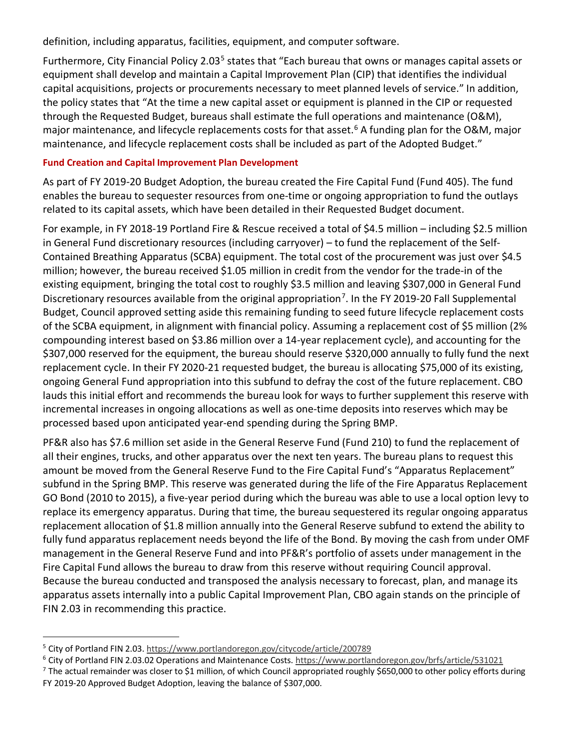definition, including apparatus, facilities, equipment, and computer software.

Furthermore, City Financial Policy 2.03<sup>[5](#page-11-0)</sup> states that "Each bureau that owns or manages capital assets or equipment shall develop and maintain a Capital Improvement Plan (CIP) that identifies the individual capital acquisitions, projects or procurements necessary to meet planned levels of service." In addition, the policy states that "At the time a new capital asset or equipment is planned in the CIP or requested through the Requested Budget, bureaus shall estimate the full operations and maintenance (O&M), major maintenance, and lifecycle replacements costs for that asset.<sup>[6](#page-11-1)</sup> A funding plan for the O&M, major maintenance, and lifecycle replacement costs shall be included as part of the Adopted Budget."

### **Fund Creation and Capital Improvement Plan Development**

As part of FY 2019-20 Budget Adoption, the bureau created the Fire Capital Fund (Fund 405). The fund enables the bureau to sequester resources from one-time or ongoing appropriation to fund the outlays related to its capital assets, which have been detailed in their Requested Budget document.

For example, in FY 2018-19 Portland Fire & Rescue received a total of \$4.5 million – including \$2.5 million in General Fund discretionary resources (including carryover) – to fund the replacement of the Self-Contained Breathing Apparatus (SCBA) equipment. The total cost of the procurement was just over \$4.5 million; however, the bureau received \$1.05 million in credit from the vendor for the trade-in of the existing equipment, bringing the total cost to roughly \$3.5 million and leaving \$307,000 in General Fund Discretionary resources available from the original appropriation<sup>[7](#page-11-2)</sup>. In the FY 2019-20 Fall Supplemental Budget, Council approved setting aside this remaining funding to seed future lifecycle replacement costs of the SCBA equipment, in alignment with financial policy. Assuming a replacement cost of \$5 million (2% compounding interest based on \$3.86 million over a 14-year replacement cycle), and accounting for the \$307,000 reserved for the equipment, the bureau should reserve \$320,000 annually to fully fund the next replacement cycle. In their FY 2020-21 requested budget, the bureau is allocating \$75,000 of its existing, ongoing General Fund appropriation into this subfund to defray the cost of the future replacement. CBO lauds this initial effort and recommends the bureau look for ways to further supplement this reserve with incremental increases in ongoing allocations as well as one-time deposits into reserves which may be processed based upon anticipated year-end spending during the Spring BMP.

PF&R also has \$7.6 million set aside in the General Reserve Fund (Fund 210) to fund the replacement of all their engines, trucks, and other apparatus over the next ten years. The bureau plans to request this amount be moved from the General Reserve Fund to the Fire Capital Fund's "Apparatus Replacement" subfund in the Spring BMP. This reserve was generated during the life of the Fire Apparatus Replacement GO Bond (2010 to 2015), a five-year period during which the bureau was able to use a local option levy to replace its emergency apparatus. During that time, the bureau sequestered its regular ongoing apparatus replacement allocation of \$1.8 million annually into the General Reserve subfund to extend the ability to fully fund apparatus replacement needs beyond the life of the Bond. By moving the cash from under OMF management in the General Reserve Fund and into PF&R's portfolio of assets under management in the Fire Capital Fund allows the bureau to draw from this reserve without requiring Council approval. Because the bureau conducted and transposed the analysis necessary to forecast, plan, and manage its apparatus assets internally into a public Capital Improvement Plan, CBO again stands on the principle of FIN 2.03 in recommending this practice.

<span id="page-11-0"></span><sup>5</sup> City of Portland FIN 2.03.<https://www.portlandoregon.gov/citycode/article/200789>

<span id="page-11-1"></span><sup>6</sup> City of Portland FIN 2.03.02 Operations and Maintenance Costs[. https://www.portlandoregon.gov/brfs/article/531021](https://www.portlandoregon.gov/brfs/article/531021)

<span id="page-11-2"></span> $^7$  The actual remainder was closer to \$1 million, of which Council appropriated roughly \$650,000 to other policy efforts during FY 2019-20 Approved Budget Adoption, leaving the balance of \$307,000.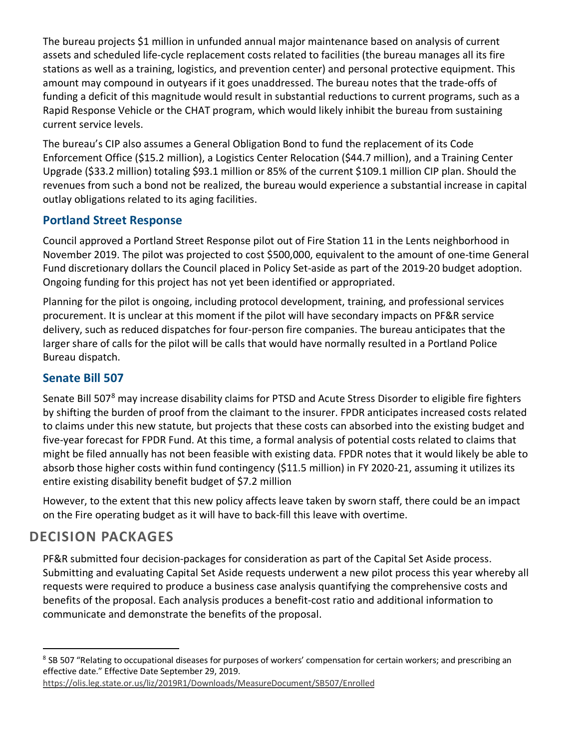The bureau projects \$1 million in unfunded annual major maintenance based on analysis of current assets and scheduled life-cycle replacement costs related to facilities (the bureau manages all its fire stations as well as a training, logistics, and prevention center) and personal protective equipment. This amount may compound in outyears if it goes unaddressed. The bureau notes that the trade-offs of funding a deficit of this magnitude would result in substantial reductions to current programs, such as a Rapid Response Vehicle or the CHAT program, which would likely inhibit the bureau from sustaining current service levels.

The bureau's CIP also assumes a General Obligation Bond to fund the replacement of its Code Enforcement Office (\$15.2 million), a Logistics Center Relocation (\$44.7 million), and a Training Center Upgrade (\$33.2 million) totaling \$93.1 million or 85% of the current \$109.1 million CIP plan. Should the revenues from such a bond not be realized, the bureau would experience a substantial increase in capital outlay obligations related to its aging facilities.

# **Portland Street Response**

Council approved a Portland Street Response pilot out of Fire Station 11 in the Lents neighborhood in November 2019. The pilot was projected to cost \$500,000, equivalent to the amount of one-time General Fund discretionary dollars the Council placed in Policy Set-aside as part of the 2019-20 budget adoption. Ongoing funding for this project has not yet been identified or appropriated.

Planning for the pilot is ongoing, including protocol development, training, and professional services procurement. It is unclear at this moment if the pilot will have secondary impacts on PF&R service delivery, such as reduced dispatches for four-person fire companies. The bureau anticipates that the larger share of calls for the pilot will be calls that would have normally resulted in a Portland Police Bureau dispatch.

# **Senate Bill 507**

Senate Bill 507<sup>[8](#page-12-0)</sup> may increase disability claims for PTSD and Acute Stress Disorder to eligible fire fighters by shifting the burden of proof from the claimant to the insurer. FPDR anticipates increased costs related to claims under this new statute, but projects that these costs can absorbed into the existing budget and five-year forecast for FPDR Fund. At this time, a formal analysis of potential costs related to claims that might be filed annually has not been feasible with existing data. FPDR notes that it would likely be able to absorb those higher costs within fund contingency (\$11.5 million) in FY 2020-21, assuming it utilizes its entire existing disability benefit budget of \$7.2 million

However, to the extent that this new policy affects leave taken by sworn staff, there could be an impact on the Fire operating budget as it will have to back-fill this leave with overtime.

# **DECISION PACKAGES**

PF&R submitted four decision-packages for consideration as part of the Capital Set Aside process. Submitting and evaluating Capital Set Aside requests underwent a new pilot process this year whereby all requests were required to produce a business case analysis quantifying the comprehensive costs and benefits of the proposal. Each analysis produces a benefit-cost ratio and additional information to communicate and demonstrate the benefits of the proposal.

<span id="page-12-0"></span><sup>&</sup>lt;sup>8</sup> SB 507 "Relating to occupational diseases for purposes of workers' compensation for certain workers; and prescribing an effective date." Effective Date September 29, 2019.

<https://olis.leg.state.or.us/liz/2019R1/Downloads/MeasureDocument/SB507/Enrolled>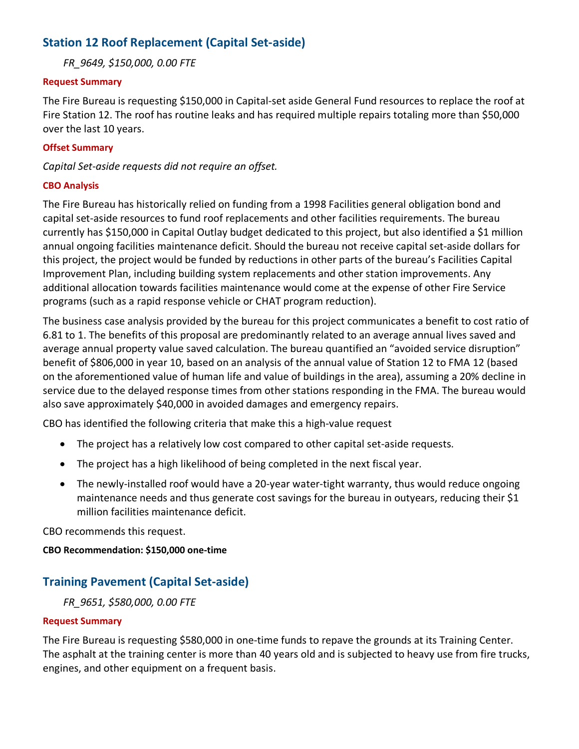# **Station 12 Roof Replacement (Capital Set-aside)**

*FR\_9649, \$150,000, 0.00 FTE*

### **Request Summary**

The Fire Bureau is requesting \$150,000 in Capital-set aside General Fund resources to replace the roof at Fire Station 12. The roof has routine leaks and has required multiple repairs totaling more than \$50,000 over the last 10 years.

### **Offset Summary**

*Capital Set-aside requests did not require an offset.*

### **CBO Analysis**

The Fire Bureau has historically relied on funding from a 1998 Facilities general obligation bond and capital set-aside resources to fund roof replacements and other facilities requirements. The bureau currently has \$150,000 in Capital Outlay budget dedicated to this project, but also identified a \$1 million annual ongoing facilities maintenance deficit. Should the bureau not receive capital set-aside dollars for this project, the project would be funded by reductions in other parts of the bureau's Facilities Capital Improvement Plan, including building system replacements and other station improvements. Any additional allocation towards facilities maintenance would come at the expense of other Fire Service programs (such as a rapid response vehicle or CHAT program reduction).

The business case analysis provided by the bureau for this project communicates a benefit to cost ratio of 6.81 to 1. The benefits of this proposal are predominantly related to an average annual lives saved and average annual property value saved calculation. The bureau quantified an "avoided service disruption" benefit of \$806,000 in year 10, based on an analysis of the annual value of Station 12 to FMA 12 (based on the aforementioned value of human life and value of buildings in the area), assuming a 20% decline in service due to the delayed response times from other stations responding in the FMA. The bureau would also save approximately \$40,000 in avoided damages and emergency repairs.

CBO has identified the following criteria that make this a high-value request

- The project has a relatively low cost compared to other capital set-aside requests.
- The project has a high likelihood of being completed in the next fiscal year.
- The newly-installed roof would have a 20-year water-tight warranty, thus would reduce ongoing maintenance needs and thus generate cost savings for the bureau in outyears, reducing their \$1 million facilities maintenance deficit.

CBO recommends this request.

### **CBO Recommendation: \$150,000 one-time**

# **Training Pavement (Capital Set-aside)**

*FR\_9651, \$580,000, 0.00 FTE*

### **Request Summary**

The Fire Bureau is requesting \$580,000 in one-time funds to repave the grounds at its Training Center. The asphalt at the training center is more than 40 years old and is subjected to heavy use from fire trucks, engines, and other equipment on a frequent basis.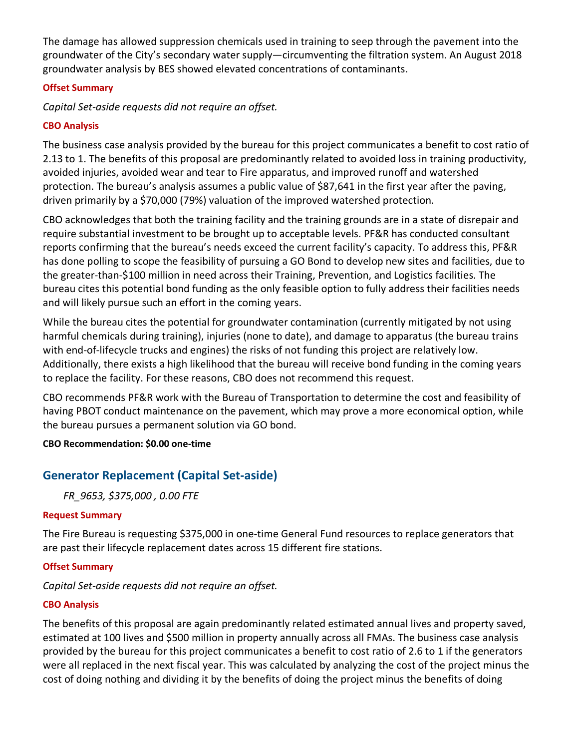The damage has allowed suppression chemicals used in training to seep through the pavement into the groundwater of the City's secondary water supply—circumventing the filtration system. An August 2018 groundwater analysis by BES showed elevated concentrations of contaminants.

### **Offset Summary**

*Capital Set-aside requests did not require an offset.*

# **CBO Analysis**

The business case analysis provided by the bureau for this project communicates a benefit to cost ratio of 2.13 to 1. The benefits of this proposal are predominantly related to avoided loss in training productivity, avoided injuries, avoided wear and tear to Fire apparatus, and improved runoff and watershed protection. The bureau's analysis assumes a public value of \$87,641 in the first year after the paving, driven primarily by a \$70,000 (79%) valuation of the improved watershed protection.

CBO acknowledges that both the training facility and the training grounds are in a state of disrepair and require substantial investment to be brought up to acceptable levels. PF&R has conducted consultant reports confirming that the bureau's needs exceed the current facility's capacity. To address this, PF&R has done polling to scope the feasibility of pursuing a GO Bond to develop new sites and facilities, due to the greater-than-\$100 million in need across their Training, Prevention, and Logistics facilities. The bureau cites this potential bond funding as the only feasible option to fully address their facilities needs and will likely pursue such an effort in the coming years.

While the bureau cites the potential for groundwater contamination (currently mitigated by not using harmful chemicals during training), injuries (none to date), and damage to apparatus (the bureau trains with end-of-lifecycle trucks and engines) the risks of not funding this project are relatively low. Additionally, there exists a high likelihood that the bureau will receive bond funding in the coming years to replace the facility. For these reasons, CBO does not recommend this request.

CBO recommends PF&R work with the Bureau of Transportation to determine the cost and feasibility of having PBOT conduct maintenance on the pavement, which may prove a more economical option, while the bureau pursues a permanent solution via GO bond.

### **CBO Recommendation: \$0.00 one-time**

# **Generator Replacement (Capital Set-aside)**

*FR\_9653, \$375,000 , 0.00 FTE*

### **Request Summary**

The Fire Bureau is requesting \$375,000 in one-time General Fund resources to replace generators that are past their lifecycle replacement dates across 15 different fire stations.

# **Offset Summary**

# *Capital Set-aside requests did not require an offset.*

# **CBO Analysis**

The benefits of this proposal are again predominantly related estimated annual lives and property saved, estimated at 100 lives and \$500 million in property annually across all FMAs. The business case analysis provided by the bureau for this project communicates a benefit to cost ratio of 2.6 to 1 if the generators were all replaced in the next fiscal year. This was calculated by analyzing the cost of the project minus the cost of doing nothing and dividing it by the benefits of doing the project minus the benefits of doing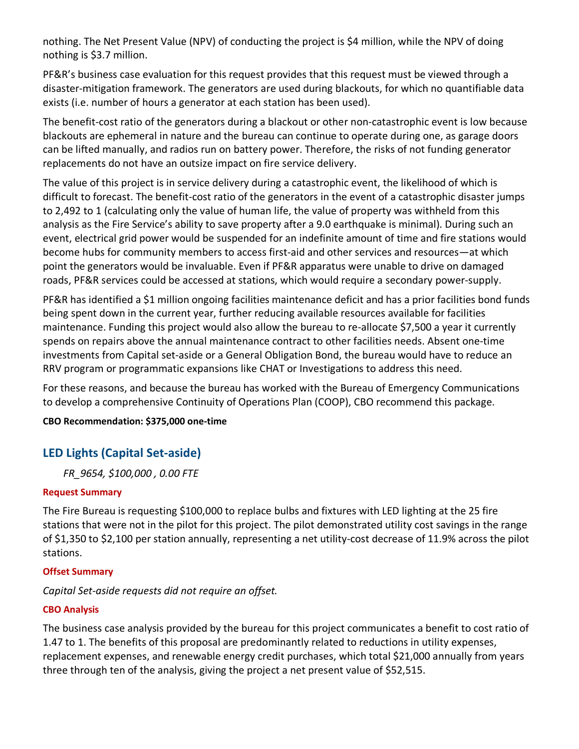nothing. The Net Present Value (NPV) of conducting the project is \$4 million, while the NPV of doing nothing is \$3.7 million.

PF&R's business case evaluation for this request provides that this request must be viewed through a disaster-mitigation framework. The generators are used during blackouts, for which no quantifiable data exists (i.e. number of hours a generator at each station has been used).

The benefit-cost ratio of the generators during a blackout or other non-catastrophic event is low because blackouts are ephemeral in nature and the bureau can continue to operate during one, as garage doors can be lifted manually, and radios run on battery power. Therefore, the risks of not funding generator replacements do not have an outsize impact on fire service delivery.

The value of this project is in service delivery during a catastrophic event, the likelihood of which is difficult to forecast. The benefit-cost ratio of the generators in the event of a catastrophic disaster jumps to 2,492 to 1 (calculating only the value of human life, the value of property was withheld from this analysis as the Fire Service's ability to save property after a 9.0 earthquake is minimal). During such an event, electrical grid power would be suspended for an indefinite amount of time and fire stations would become hubs for community members to access first-aid and other services and resources—at which point the generators would be invaluable. Even if PF&R apparatus were unable to drive on damaged roads, PF&R services could be accessed at stations, which would require a secondary power-supply.

PF&R has identified a \$1 million ongoing facilities maintenance deficit and has a prior facilities bond funds being spent down in the current year, further reducing available resources available for facilities maintenance. Funding this project would also allow the bureau to re-allocate \$7,500 a year it currently spends on repairs above the annual maintenance contract to other facilities needs. Absent one-time investments from Capital set-aside or a General Obligation Bond, the bureau would have to reduce an RRV program or programmatic expansions like CHAT or Investigations to address this need.

For these reasons, and because the bureau has worked with the Bureau of Emergency Communications to develop a comprehensive Continuity of Operations Plan (COOP), CBO recommend this package.

**CBO Recommendation: \$375,000 one-time**

# **LED Lights (Capital Set-aside)**

*FR\_9654, \$100,000 , 0.00 FTE*

# **Request Summary**

The Fire Bureau is requesting \$100,000 to replace bulbs and fixtures with LED lighting at the 25 fire stations that were not in the pilot for this project. The pilot demonstrated utility cost savings in the range of \$1,350 to \$2,100 per station annually, representing a net utility-cost decrease of 11.9% across the pilot stations.

# **Offset Summary**

# *Capital Set-aside requests did not require an offset.*

# **CBO Analysis**

The business case analysis provided by the bureau for this project communicates a benefit to cost ratio of 1.47 to 1. The benefits of this proposal are predominantly related to reductions in utility expenses, replacement expenses, and renewable energy credit purchases, which total \$21,000 annually from years three through ten of the analysis, giving the project a net present value of \$52,515.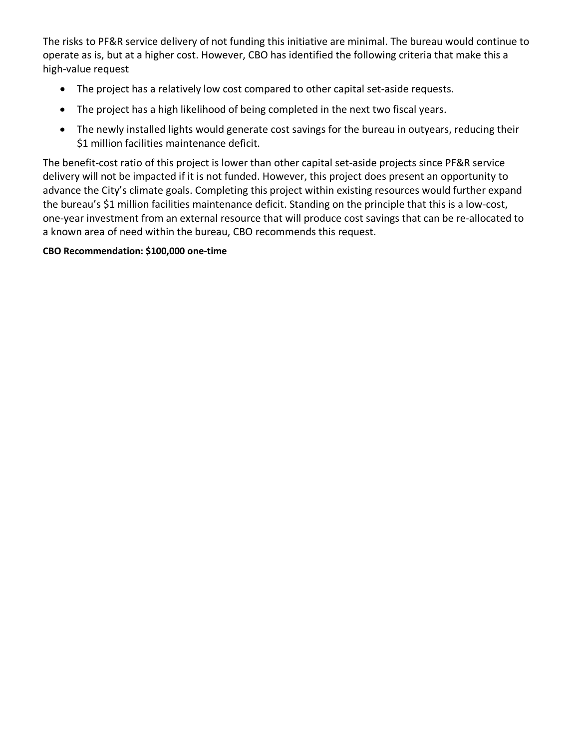The risks to PF&R service delivery of not funding this initiative are minimal. The bureau would continue to operate as is, but at a higher cost. However, CBO has identified the following criteria that make this a high-value request

- The project has a relatively low cost compared to other capital set-aside requests.
- The project has a high likelihood of being completed in the next two fiscal years.
- The newly installed lights would generate cost savings for the bureau in outyears, reducing their \$1 million facilities maintenance deficit.

The benefit-cost ratio of this project is lower than other capital set-aside projects since PF&R service delivery will not be impacted if it is not funded. However, this project does present an opportunity to advance the City's climate goals. Completing this project within existing resources would further expand the bureau's \$1 million facilities maintenance deficit. Standing on the principle that this is a low-cost, one-year investment from an external resource that will produce cost savings that can be re-allocated to a known area of need within the bureau, CBO recommends this request.

### **CBO Recommendation: \$100,000 one-time**